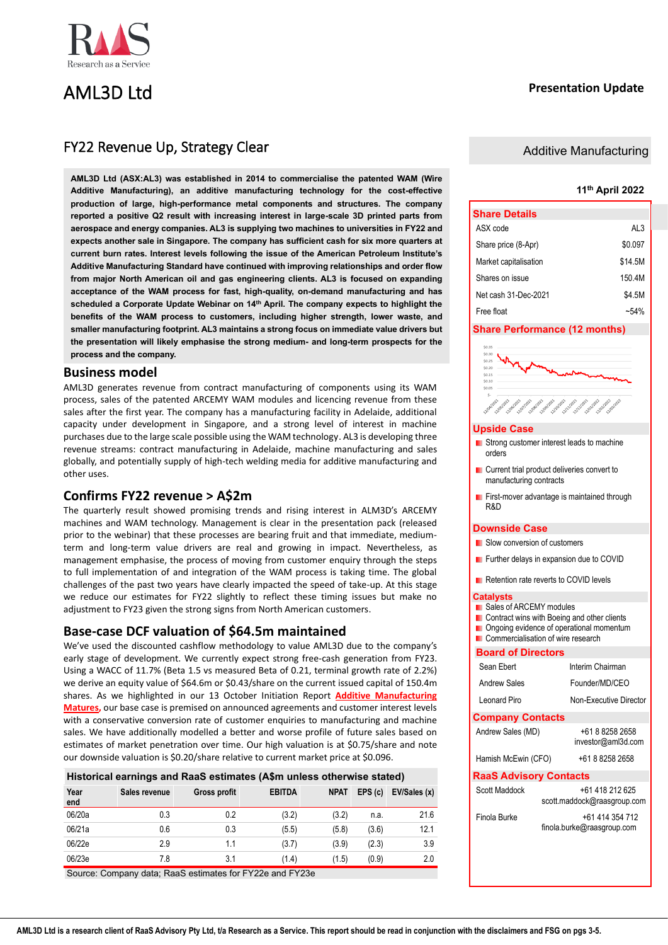

## AML3D Ltd

## **Presentation Update**

## FY22 Revenue Up, Strategy Clear

**AML3D Ltd (ASX:AL3) was established in 2014 to commercialise the patented WAM (Wire Additive Manufacturing), an additive manufacturing technology for the cost-effective production of large, high-performance metal components and structures. The company reported a positive Q2 result with increasing interest in large-scale 3D printed parts from aerospace and energy companies. AL3 is supplying two machines to universities in FY22 and expects another sale in Singapore. The company has sufficient cash for six more quarters at current burn rates. Interest levels following the issue of the American Petroleum Institute's Additive Manufacturing Standard have continued with improving relationships and order flow from major North American oil and gas engineering clients. AL3 is focused on expanding acceptance of the WAM process for fast, high-quality, on-demand manufacturing and has scheduled a Corporate Update Webinar on 14th April. The company expects to highlight the benefits of the WAM process to customers, including higher strength, lower waste, and smaller manufacturing footprint. AL3 maintains a strong focus on immediate value drivers but the presentation will likely emphasise the strong medium- and long-term prospects for the process and the company.**

## **Business model**

AML3D generates revenue from contract manufacturing of components using its WAM process, sales of the patented ARCEMY WAM modules and licencing revenue from these sales after the first year. The company has a manufacturing facility in Adelaide, additional capacity under development in Singapore, and a strong level of interest in machine purchases due to the large scale possible using the WAM technology. AL3 is developing three revenue streams: contract manufacturing in Adelaide, machine manufacturing and sales globally, and potentially supply of high-tech welding media for additive manufacturing and other uses.

## **Confirms FY22 revenue > A\$2m**

The quarterly result showed promising trends and rising interest in ALM3D's ARCEMY machines and WAM technology. Management is clear in the presentation pack (released prior to the webinar) that these processes are bearing fruit and that immediate, mediumterm and long-term value drivers are real and growing in impact. Nevertheless, as management emphasise, the process of moving from customer enquiry through the steps to full implementation of and integration of the WAM process is taking time. The global challenges of the past two years have clearly impacted the speed of take-up. At this stage we reduce our estimates for FY22 slightly to reflect these timing issues but make no adjustment to FY23 given the strong signs from North American customers.

## **Base-case DCF valuation of \$64.5m maintained**

We've used the discounted cashflow methodology to value AML3D due to the company's early stage of development. We currently expect strong free-cash generation from FY23. Using a WACC of 11.7% (Beta 1.5 vs measured Beta of 0.21, terminal growth rate of 2.2%) we derive an equity value of \$64.6m or \$0.43/share on the current issued capital of 150.4m shares. As we highlighted in our 13 October Initiation Report **[Additive Manufacturing](https://www.raasgroup.com/download/ASX:AL3%20AML3D%20RaaS%20Initiation%20Report%202021%2010%2013/?wpdmdl=4299)  [Matures,](https://www.raasgroup.com/download/ASX:AL3%20AML3D%20RaaS%20Initiation%20Report%202021%2010%2013/?wpdmdl=4299)** our base case is premised on announced agreements and customer interest levels with a conservative conversion rate of customer enquiries to manufacturing and machine sales. We have additionally modelled a better and worse profile of future sales based on estimates of market penetration over time. Our high valuation is at \$0.75/share and note our downside valuation is \$0.20/share relative to current market price at \$0.096.

| Historical earnings and RaaS estimates (A\$m unless otherwise stated) |  |
|-----------------------------------------------------------------------|--|
|-----------------------------------------------------------------------|--|

| Year<br>end | Sales revenue | Gross profit | <b>EBITDA</b> | <b>NPAT</b> | EPS(c) | EV/Sales (x) |
|-------------|---------------|--------------|---------------|-------------|--------|--------------|
| 06/20a      | 0.3           | 0.2          | (3.2)         | (3.2)       | n.a.   | 21.6         |
| 06/21a      | 0.6           | 0.3          | (5.5)         | (5.8)       | (3.6)  | 12.1         |
| 06/22e      | 2.9           | 1.1          | (3.7)         | (3.9)       | (2.3)  | 3.9          |
| 06/23e      | 7.8           | 3.1          | (1.4)         | (1.5)       | (0.9)  | 2.0          |

Source: Company data; RaaS estimates for FY22e and FY23e

## Additive Manufacturing

## **11th April 2022**

| <b>Share Details</b>  |         |
|-----------------------|---------|
| ASX code              | AL3     |
| Share price (8-Apr)   | \$0.097 |
| Market capitalisation | \$14.5M |
| Shares on issue       | 150 4M  |
| Net cash 31-Dec-2021  | \$4.5M  |
| Free float            | $-54%$  |

### **Share Performance (12 months)**



### **Upside Case**

- **Strong customer interest leads to machine** orders
- **Current trial product deliveries convert to** manufacturing contracts
- **First-mover advantage is maintained through** R&D

### **Downside Case**

- **Slow conversion of customers**
- **Further delays in expansion due to COVID**
- Retention rate reverts to COVID levels

## **Catalysts**

- **Sales of ARCEMY modules**
- **Contract wins with Boeing and other clients**
- Ongoing evidence of operational momentum
- **Commercialisation of wire research**

#### **Board of Directors**

| Sean Fhert                    | Interim Chairman                               |  |  |  |  |  |  |  |
|-------------------------------|------------------------------------------------|--|--|--|--|--|--|--|
| <b>Andrew Sales</b>           | Founder/MD/CFO                                 |  |  |  |  |  |  |  |
| l eonard Piro                 | Non-Executive Director                         |  |  |  |  |  |  |  |
| <b>Company Contacts</b>       |                                                |  |  |  |  |  |  |  |
| Andrew Sales (MD)             | +61 8 8258 2658<br>investor@aml3d.com          |  |  |  |  |  |  |  |
| Hamish McEwin (CFO)           | +61 8 8258 2658                                |  |  |  |  |  |  |  |
| <b>RaaS Advisory Contacts</b> |                                                |  |  |  |  |  |  |  |
| Scott Maddock                 | +61 418 212 625<br>scott.maddock@raasgroup.com |  |  |  |  |  |  |  |
| Finola Burke                  | +61 414 354 712<br>finola.burke@raasgroup.com  |  |  |  |  |  |  |  |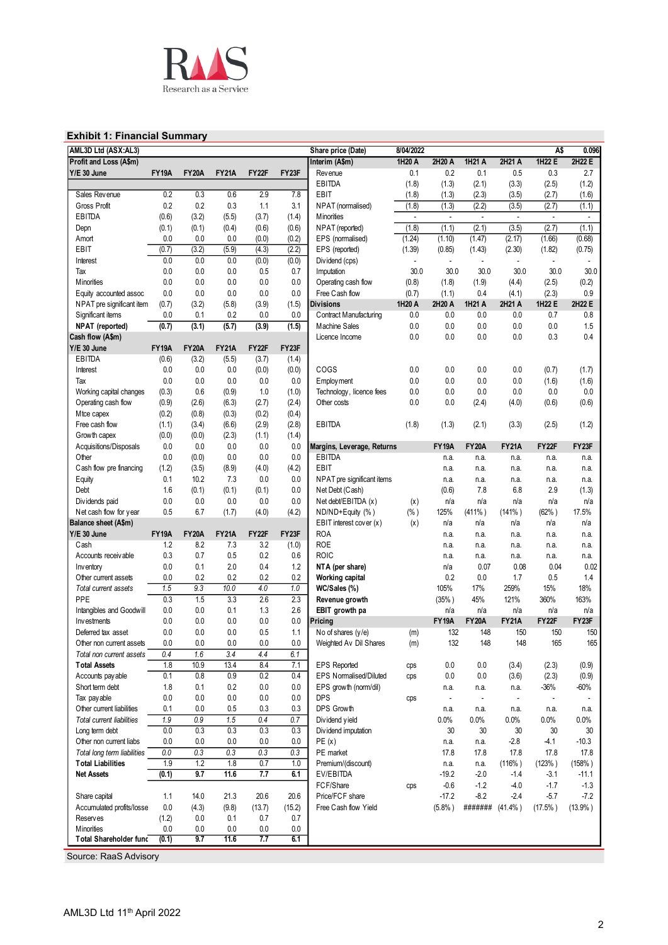

## **Exhibit 1: Financial Summary**

| 1H20 A<br>2H20 A<br>1H21 A<br>2H21 A<br>1H22E<br>2H22 E<br>Profit and Loss (A\$m)<br>Interim (A\$m)<br><b>FY19A</b><br>FY23F<br>0.2<br>0.1<br>0.3<br>2.7<br>Y/E 30 June<br><b>FY20A</b><br><b>FY21A</b><br><b>FY22F</b><br>0.1<br>0.5<br>Revenue<br><b>EBITDA</b><br>(1.8)<br>(1.3)<br>(2.1)<br>(3.3)<br>(2.5)<br>(1.2)<br>0.6<br>2.9<br>EBIT<br>Sales Revenue<br>0.2<br>0.3<br>7.8<br>(1.3)<br>(2.3)<br>(3.5)<br>(2.7)<br>(1.6)<br>(1.8)<br>0.2<br>0.2<br>0.3<br>Gross Profit<br>1.1<br>3.1<br>(1.8)<br>(1.3)<br>(2.2)<br>(3.5)<br>(2.7)<br>(1.1)<br>NPAT (normalised)<br><b>EBITDA</b><br>(0.6)<br>(3.2)<br>(5.5)<br>(3.7)<br>(1.4)<br><b>M</b> inorities<br>$\overline{\phantom{a}}$<br>$\overline{\phantom{a}}$<br>$\blacksquare$<br>$\blacksquare$<br>$\overline{\phantom{a}}$<br>$\overline{\phantom{a}}$<br>(2.1)<br>(3.5)<br>(2.7)<br>(1.1)<br>(0.1)<br>(0.4)<br>(0.6)<br>(0.6)<br>NPAT (reported)<br>(1.8)<br>(1.1)<br>Depn<br>(0.1)<br>(1.24)<br>(1.66)<br>(0.68)<br>0.0<br>0.0<br>(0.0)<br>(0.2)<br>EPS (normalised)<br>(1.10)<br>(1.47)<br>(2.17)<br>Amort<br>0.0<br>EBIT<br>(0.7)<br>(3.2)<br>(5.9)<br>(4.3)<br>(2.2)<br>EPS (reported)<br>(1.39)<br>(0.85)<br>(1.82)<br>(0.75)<br>(1.43)<br>(2.30)<br>0.0<br>0.0<br>(0.0)<br>0.0<br>(0.0)<br>Dividend (cps)<br>Interest<br>0.0<br>0.0<br>0.0<br>0.5<br>Imputation<br>30.0<br>30.0<br>30.0<br>30.0<br>30.0<br>30.0<br>Tax<br>0.7<br>0.0<br>0.0<br>0.0<br>0.0<br>0.0<br>(0.8)<br>(1.8)<br>(1.9)<br>(4.4)<br>(2.5)<br>(0.2)<br>Minorities<br>Operating cash flow<br>0.0<br>0.0<br>0.0<br>0.0<br>0.0<br>Free Cash flow<br>(0.7)<br>(1.1)<br>0.4<br>(4.1)<br>(2.3)<br>0.9<br>Equity accounted assoc<br>1H22 E<br>(0.7)<br>(3.2)<br>(5.8)<br>(3.9)<br>(1.5)<br><b>Divisions</b><br>1H20 A<br>2H20 A<br>1H21 A<br>2H21 A<br>2H22 E<br>NPAT pre significant item<br>Significant items<br>0.0<br>0.1<br>0.2<br>0.0<br>0.0<br>Contract Manufacturing<br>0.0<br>0.0<br>0.0<br>0.0<br>0.7<br>0.8<br>(0.7)<br>(3.1)<br>(5.7)<br>(3.9)<br>(1.5)<br>0.0<br>0.0<br>1.5<br>NPAT (reported)<br>Machine Sales<br>0.0<br>0.0<br>0.0<br>0.0<br>0.0<br>0.4<br>Cash flow (A\$m)<br>0.0<br>0.0<br>0.3<br>Licence Income<br><b>FY20A</b><br>FY22F<br>FY23F<br>Y/E 30 June<br><b>FY19A</b><br><b>FY21A</b><br>EBITDA<br>(0.6)<br>(3.7)<br>(3.2)<br>(5.5)<br>(1.4)<br>0.0<br>0.0<br>0.0<br>(0.0)<br>(0.0)<br>COGS<br>0.0<br>0.0<br>0.0<br>0.0<br>(0.7)<br>(1.7)<br>Interest<br>0.0<br>0.0<br>0.0<br>0.0<br>0.0<br>0.0<br>0.0<br>0.0<br>0.0<br>Tax<br>Employment<br>(1.6)<br>(1.6)<br>0.0<br>0.0<br>(0.3)<br>0.6<br>1.0<br>(1.0)<br>0.0<br>0.0<br>0.0<br>0.0<br>Working capital changes<br>(0.9)<br>Technology, licence fees<br>Operating cash flow<br>(0.9)<br>(6.3)<br>(2.7)<br>(2.4)<br>0.0<br>0.0<br>(4.0)<br>(0.6)<br>(2.6)<br>Other costs<br>(2.4)<br>(0.6)<br>(0.2)<br>(0.2)<br>(0.4)<br>Mtce capex<br>(0.8)<br>(0.3)<br>Free cash flow<br>(2.9)<br>EBITDA<br>(3.3)<br>(1.2)<br>(1.1)<br>(3.4)<br>(6.6)<br>(2.8)<br>(1.8)<br>(1.3)<br>(2.1)<br>(2.5)<br>(2.3)<br>(1.4)<br>Growth capex<br>(0.0)<br>(0.0)<br>(1.1)<br>Acquisitions/Disposals<br>0.0<br>0.0<br>0.0<br>0.0<br>0.0<br><b>FY19A</b><br><b>FY20A</b><br><b>FY21A</b><br><b>FY22F</b><br>FY23F<br>Margins, Leverage, Returns<br>0.0<br>0.0<br>(0.0)<br>0.0<br>0.0<br><b>EBITDA</b><br>Other<br>n.a.<br>n.a.<br>n.a.<br>n.a.<br>n.a.<br>(8.9)<br>(4.2)<br>EBIT<br>Cash flow pre financing<br>(1.2)<br>(3.5)<br>(4.0)<br>n.a.<br>n.a.<br>n.a.<br>n.a.<br>n.a.<br>0.1<br>10.2<br>7.3<br>0.0<br>0.0<br>Equity<br>NPAT pre significant items<br>n.a.<br>n.a.<br>n.a.<br>n.a.<br>n.a.<br>1.6<br>(0.1)<br>(0.1)<br>0.0<br>Net Debt (Cash)<br>(0.6)<br>7.8<br>6.8<br>2.9<br>(1.3)<br>Debt<br>(0.1)<br>0.0<br>0.0<br>0.0<br>0.0<br>0.0<br>Net debt/EBITDA (x)<br>Dividends paid<br>n/a<br>n/a<br>n/a<br>n/a<br>n/a<br>(x)<br>0.5<br>6.7<br>(1.7)<br>(4.0)<br>(4.2)<br>ND/ND+Equity (%)<br>125%<br>$(411\%)$<br>$(141\%)$<br>(62%)<br>17.5%<br>Net cash flow for year<br>$(\% )$<br>EBIT interest cover (x)<br>Balance sheet (A\$m)<br>(x)<br>n/a<br>n/a<br>n/a<br>n/a<br>n/a<br>Y/E 30 June<br><b>FY19A</b><br><b>FY20A</b><br><b>FY21A</b><br>FY22F<br>FY23F<br><b>ROA</b><br>n.a.<br>n.a.<br>n.a.<br>n.a.<br>n.a.<br>1.2<br><b>ROE</b><br>Cash<br>8.2<br>7.3<br>3.2<br>(1.0)<br>n.a.<br>n.a.<br>n.a.<br>n.a.<br>n.a.<br>0.7<br>0.5<br><b>ROIC</b><br>0.3<br>0.2<br>0.6<br>Accounts receivable<br>n.a.<br>n.a.<br>n.a.<br>n.a.<br>n.a.<br>0.1<br>2.0<br>0.4<br>0.07<br>0.02<br>0.0<br>1.2<br>NTA (per share)<br>0.08<br>0.04<br>n/a<br>Inventory<br>0.2<br>0.2<br>0.2<br>0.0<br>0.2<br>0.2<br>Working capital<br>0.0<br>1.7<br>0.5<br>1.4<br>Other current assets<br>1.5<br>9.3<br>10.0<br>4.0<br>1.0<br>105%<br>17%<br>259%<br>15%<br>18%<br>WC/Sales (%)<br>Total current assets<br>PPE<br>1.5<br>3.3<br>2.6<br>2.3<br>163%<br>0.3<br>(35% )<br>45%<br>121%<br>360%<br>Revenue growth<br>0.0<br>0.1<br>2.6<br>0.0<br>1.3<br>EBIT growth pa<br>n/a<br>n/a<br>Intangibles and Goodwill<br>n/a<br>n/a<br>n/a<br>0.0<br><b>FY19A</b><br><b>FY20A</b><br><b>FY21A</b><br>FY22F<br>FY23F<br>0.0<br>0.0<br>0.0<br>0.0<br>Investments<br>Pricing<br>0.0<br>0.0<br>0.5<br>132<br>0.0<br>1.1<br>No of shares $(y/e)$<br>148<br>150<br>150<br>150<br>Deferred tax asset<br>(m)<br>165<br>$0.0\,$<br>$0.0\,$<br>$0.0\,$<br>132<br>148<br>148<br>165<br>Other non current assets<br>$0.0\,$<br>0.0<br>Weighted Av Dil Shares<br>(m)<br>0.4<br>1.6<br>3.4<br>4.4<br>6.1<br>Total non current assets<br>10.9<br>13.4<br>8.4<br><b>Total Assets</b><br>1.8<br>7.1<br><b>EPS Reported</b><br>0.0<br>0.0<br>(3.4)<br>(2.3)<br>(0.9)<br>cps<br>0.2<br>0.8<br>0.9<br>0.4<br>0.0<br>(2.3)<br>0.1<br><b>EPS Normalised/Diluted</b><br>0.0<br>(3.6)<br>(0.9)<br>Accounts pay able<br>cps<br>Short term debt<br>1.8<br>0.1<br>0.2<br>0.0<br>0.0<br>$-36%$<br>-60%<br>EPS growth (norm/dil)<br>n.a.<br>n.a.<br>n.a.<br>0.0<br><b>DPS</b><br>0.0<br>0.0<br>0.0<br>0.0<br>Tax pay able<br>cps<br>÷,<br>$\blacksquare$<br>$\blacksquare$<br>Other current liabilities<br>0.1<br>0.0<br>0.5<br>0.3<br>0.3<br>DPS Growth<br>n.a.<br>n.a.<br>n.a.<br>n.a.<br>n.a.<br>0.9<br>0.0%<br>1.9<br>1.5<br>0.4<br>0.7<br>$0.0\%$<br>$0.0\%$<br>0.0%<br>$0.0\%$<br>Total current liabilities<br>Dividend yield<br>0.0<br>0.3<br>0.3<br>0.3<br>30<br>0.3<br>30<br>30<br>30<br>30<br>Long term debt<br>Dividend imputation<br>0.0<br>0.0<br>0.0<br>0.0<br>0.0<br>PE(x)<br>$-2.8$<br>$-4.1$<br>$-10.3$<br>Other non current liabs<br>n.a.<br>n.a.<br>$0.0\,$<br>0.3<br>0.3<br>0.3<br>17.8<br>Total long term liabilities<br>0.3<br>PE market<br>17.8<br>17.8<br>17.8<br>17.8<br>1.2<br>1.8<br>0.7<br>(158% )<br>1.9<br>1.0<br>Premium/(discount)<br>(116% )<br>(123%)<br><b>Total Liabilities</b><br>n.a.<br>n.a.<br><b>Net Assets</b><br>(0.1)<br>9.7<br>11.6<br>7.7<br>6.1<br>EV/EBITDA<br>$-19.2$<br>$-2.0$<br>$-1.4$<br>-3.1<br>$-11.1$<br>FCF/Share<br>$-0.6$<br>$-1.2$<br>$-4.0$<br>$-1.7$<br>$-1.3$<br>cps<br>Price/FCF share<br>$-17.2$<br>$-8.2$<br>1.1<br>14.0<br>21.3<br>20.6<br>20.6<br>$-2.4$<br>$-5.7$<br>$-7.2$<br>Share capital<br>0.0<br>(4.3)<br>(9.8)<br>(13.7)<br>(15.2)<br>Free Cash flow Yield<br>$(5.8\%)$<br>####### (41.4%)<br>$(17.5\%)$<br>$(13.9\%)$<br>Accumulated profits/losse<br>(1.2)<br>0.0<br>0.1<br>0.7<br>0.7<br><b>Reserves</b><br><b>Minorities</b><br>0.0<br>0.0<br>0.0<br>0.0<br>0.0<br><b>Total Shareholder fund</b><br>9.7<br>11.6<br>7.7<br>6.1<br>(0.1)<br>Source: RaaS Advisory | AML3D Ltd (ASX:AL3) |  |  | Share price (Date) | 8/04/2022 |  | A\$ | 0.096 |
|-------------------------------------------------------------------------------------------------------------------------------------------------------------------------------------------------------------------------------------------------------------------------------------------------------------------------------------------------------------------------------------------------------------------------------------------------------------------------------------------------------------------------------------------------------------------------------------------------------------------------------------------------------------------------------------------------------------------------------------------------------------------------------------------------------------------------------------------------------------------------------------------------------------------------------------------------------------------------------------------------------------------------------------------------------------------------------------------------------------------------------------------------------------------------------------------------------------------------------------------------------------------------------------------------------------------------------------------------------------------------------------------------------------------------------------------------------------------------------------------------------------------------------------------------------------------------------------------------------------------------------------------------------------------------------------------------------------------------------------------------------------------------------------------------------------------------------------------------------------------------------------------------------------------------------------------------------------------------------------------------------------------------------------------------------------------------------------------------------------------------------------------------------------------------------------------------------------------------------------------------------------------------------------------------------------------------------------------------------------------------------------------------------------------------------------------------------------------------------------------------------------------------------------------------------------------------------------------------------------------------------------------------------------------------------------------------------------------------------------------------------------------------------------------------------------------------------------------------------------------------------------------------------------------------------------------------------------------------------------------------------------------------------------------------------------------------------------------------------------------------------------------------------------------------------------------------------------------------------------------------------------------------------------------------------------------------------------------------------------------------------------------------------------------------------------------------------------------------------------------------------------------------------------------------------------------------------------------------------------------------------------------------------------------------------------------------------------------------------------------------------------------------------------------------------------------------------------------------------------------------------------------------------------------------------------------------------------------------------------------------------------------------------------------------------------------------------------------------------------------------------------------------------------------------------------------------------------------------------------------------------------------------------------------------------------------------------------------------------------------------------------------------------------------------------------------------------------------------------------------------------------------------------------------------------------------------------------------------------------------------------------------------------------------------------------------------------------------------------------------------------------------------------------------------------------------------------------------------------------------------------------------------------------------------------------------------------------------------------------------------------------------------------------------------------------------------------------------------------------------------------------------------------------------------------------------------------------------------------------------------------------------------------------------------------------------------------------------------------------------------------------------------------------------------------------------------------------------------------------------------------------------------------------------------------------------------------------------------------------------------------------------------------------------------------------------------------------------------------------------------------------------------------------------------------------------------------------------------------------------------------------------------------------------------------------------------------------------------------------------------------------------------------------------------------------------------------------------------------------------------------------------------------------------------------------------------------------------------------------------------------------------------------------------------------------------------------------------------------------------------------------------------------------------------------------------------------------------------------------------------------------------------------------------------------------------------------------------------------------------------------------------------------------------------------------------------------------------------------------------------------------------------------------------------------------------------------------------------------------------------------------------------------------------------------------------------------------------------------------------------------------------------------------------------------------------------------------------------------------------------------------------------------------------------------------------------------------------------------------------------------------------------------------------------------------------------------------------------------------------------------------------------------------------------------------------------------------------------------|---------------------|--|--|--------------------|-----------|--|-----|-------|
|                                                                                                                                                                                                                                                                                                                                                                                                                                                                                                                                                                                                                                                                                                                                                                                                                                                                                                                                                                                                                                                                                                                                                                                                                                                                                                                                                                                                                                                                                                                                                                                                                                                                                                                                                                                                                                                                                                                                                                                                                                                                                                                                                                                                                                                                                                                                                                                                                                                                                                                                                                                                                                                                                                                                                                                                                                                                                                                                                                                                                                                                                                                                                                                                                                                                                                                                                                                                                                                                                                                                                                                                                                                                                                                                                                                                                                                                                                                                                                                                                                                                                                                                                                                                                                                                                                                                                                                                                                                                                                                                                                                                                                                                                                                                                                                                                                                                                                                                                                                                                                                                                                                                                                                                                                                                                                                                                                                                                                                                                                                                                                                                                                                                                                                                                                                                                                                                                                                                                                                                                                                                                                                                                                                                                                                                                                                                                                                                                                                                                                                                                                                                                                                                                                                                                                                                                                                                                                                                                                                                                                                                                                                                                                                                                                                                                                                                                                                                                                                                               |                     |  |  |                    |           |  |     |       |
|                                                                                                                                                                                                                                                                                                                                                                                                                                                                                                                                                                                                                                                                                                                                                                                                                                                                                                                                                                                                                                                                                                                                                                                                                                                                                                                                                                                                                                                                                                                                                                                                                                                                                                                                                                                                                                                                                                                                                                                                                                                                                                                                                                                                                                                                                                                                                                                                                                                                                                                                                                                                                                                                                                                                                                                                                                                                                                                                                                                                                                                                                                                                                                                                                                                                                                                                                                                                                                                                                                                                                                                                                                                                                                                                                                                                                                                                                                                                                                                                                                                                                                                                                                                                                                                                                                                                                                                                                                                                                                                                                                                                                                                                                                                                                                                                                                                                                                                                                                                                                                                                                                                                                                                                                                                                                                                                                                                                                                                                                                                                                                                                                                                                                                                                                                                                                                                                                                                                                                                                                                                                                                                                                                                                                                                                                                                                                                                                                                                                                                                                                                                                                                                                                                                                                                                                                                                                                                                                                                                                                                                                                                                                                                                                                                                                                                                                                                                                                                                                               |                     |  |  |                    |           |  |     |       |
|                                                                                                                                                                                                                                                                                                                                                                                                                                                                                                                                                                                                                                                                                                                                                                                                                                                                                                                                                                                                                                                                                                                                                                                                                                                                                                                                                                                                                                                                                                                                                                                                                                                                                                                                                                                                                                                                                                                                                                                                                                                                                                                                                                                                                                                                                                                                                                                                                                                                                                                                                                                                                                                                                                                                                                                                                                                                                                                                                                                                                                                                                                                                                                                                                                                                                                                                                                                                                                                                                                                                                                                                                                                                                                                                                                                                                                                                                                                                                                                                                                                                                                                                                                                                                                                                                                                                                                                                                                                                                                                                                                                                                                                                                                                                                                                                                                                                                                                                                                                                                                                                                                                                                                                                                                                                                                                                                                                                                                                                                                                                                                                                                                                                                                                                                                                                                                                                                                                                                                                                                                                                                                                                                                                                                                                                                                                                                                                                                                                                                                                                                                                                                                                                                                                                                                                                                                                                                                                                                                                                                                                                                                                                                                                                                                                                                                                                                                                                                                                                               |                     |  |  |                    |           |  |     |       |
|                                                                                                                                                                                                                                                                                                                                                                                                                                                                                                                                                                                                                                                                                                                                                                                                                                                                                                                                                                                                                                                                                                                                                                                                                                                                                                                                                                                                                                                                                                                                                                                                                                                                                                                                                                                                                                                                                                                                                                                                                                                                                                                                                                                                                                                                                                                                                                                                                                                                                                                                                                                                                                                                                                                                                                                                                                                                                                                                                                                                                                                                                                                                                                                                                                                                                                                                                                                                                                                                                                                                                                                                                                                                                                                                                                                                                                                                                                                                                                                                                                                                                                                                                                                                                                                                                                                                                                                                                                                                                                                                                                                                                                                                                                                                                                                                                                                                                                                                                                                                                                                                                                                                                                                                                                                                                                                                                                                                                                                                                                                                                                                                                                                                                                                                                                                                                                                                                                                                                                                                                                                                                                                                                                                                                                                                                                                                                                                                                                                                                                                                                                                                                                                                                                                                                                                                                                                                                                                                                                                                                                                                                                                                                                                                                                                                                                                                                                                                                                                                               |                     |  |  |                    |           |  |     |       |
|                                                                                                                                                                                                                                                                                                                                                                                                                                                                                                                                                                                                                                                                                                                                                                                                                                                                                                                                                                                                                                                                                                                                                                                                                                                                                                                                                                                                                                                                                                                                                                                                                                                                                                                                                                                                                                                                                                                                                                                                                                                                                                                                                                                                                                                                                                                                                                                                                                                                                                                                                                                                                                                                                                                                                                                                                                                                                                                                                                                                                                                                                                                                                                                                                                                                                                                                                                                                                                                                                                                                                                                                                                                                                                                                                                                                                                                                                                                                                                                                                                                                                                                                                                                                                                                                                                                                                                                                                                                                                                                                                                                                                                                                                                                                                                                                                                                                                                                                                                                                                                                                                                                                                                                                                                                                                                                                                                                                                                                                                                                                                                                                                                                                                                                                                                                                                                                                                                                                                                                                                                                                                                                                                                                                                                                                                                                                                                                                                                                                                                                                                                                                                                                                                                                                                                                                                                                                                                                                                                                                                                                                                                                                                                                                                                                                                                                                                                                                                                                                               |                     |  |  |                    |           |  |     |       |
|                                                                                                                                                                                                                                                                                                                                                                                                                                                                                                                                                                                                                                                                                                                                                                                                                                                                                                                                                                                                                                                                                                                                                                                                                                                                                                                                                                                                                                                                                                                                                                                                                                                                                                                                                                                                                                                                                                                                                                                                                                                                                                                                                                                                                                                                                                                                                                                                                                                                                                                                                                                                                                                                                                                                                                                                                                                                                                                                                                                                                                                                                                                                                                                                                                                                                                                                                                                                                                                                                                                                                                                                                                                                                                                                                                                                                                                                                                                                                                                                                                                                                                                                                                                                                                                                                                                                                                                                                                                                                                                                                                                                                                                                                                                                                                                                                                                                                                                                                                                                                                                                                                                                                                                                                                                                                                                                                                                                                                                                                                                                                                                                                                                                                                                                                                                                                                                                                                                                                                                                                                                                                                                                                                                                                                                                                                                                                                                                                                                                                                                                                                                                                                                                                                                                                                                                                                                                                                                                                                                                                                                                                                                                                                                                                                                                                                                                                                                                                                                                               |                     |  |  |                    |           |  |     |       |
|                                                                                                                                                                                                                                                                                                                                                                                                                                                                                                                                                                                                                                                                                                                                                                                                                                                                                                                                                                                                                                                                                                                                                                                                                                                                                                                                                                                                                                                                                                                                                                                                                                                                                                                                                                                                                                                                                                                                                                                                                                                                                                                                                                                                                                                                                                                                                                                                                                                                                                                                                                                                                                                                                                                                                                                                                                                                                                                                                                                                                                                                                                                                                                                                                                                                                                                                                                                                                                                                                                                                                                                                                                                                                                                                                                                                                                                                                                                                                                                                                                                                                                                                                                                                                                                                                                                                                                                                                                                                                                                                                                                                                                                                                                                                                                                                                                                                                                                                                                                                                                                                                                                                                                                                                                                                                                                                                                                                                                                                                                                                                                                                                                                                                                                                                                                                                                                                                                                                                                                                                                                                                                                                                                                                                                                                                                                                                                                                                                                                                                                                                                                                                                                                                                                                                                                                                                                                                                                                                                                                                                                                                                                                                                                                                                                                                                                                                                                                                                                                               |                     |  |  |                    |           |  |     |       |
|                                                                                                                                                                                                                                                                                                                                                                                                                                                                                                                                                                                                                                                                                                                                                                                                                                                                                                                                                                                                                                                                                                                                                                                                                                                                                                                                                                                                                                                                                                                                                                                                                                                                                                                                                                                                                                                                                                                                                                                                                                                                                                                                                                                                                                                                                                                                                                                                                                                                                                                                                                                                                                                                                                                                                                                                                                                                                                                                                                                                                                                                                                                                                                                                                                                                                                                                                                                                                                                                                                                                                                                                                                                                                                                                                                                                                                                                                                                                                                                                                                                                                                                                                                                                                                                                                                                                                                                                                                                                                                                                                                                                                                                                                                                                                                                                                                                                                                                                                                                                                                                                                                                                                                                                                                                                                                                                                                                                                                                                                                                                                                                                                                                                                                                                                                                                                                                                                                                                                                                                                                                                                                                                                                                                                                                                                                                                                                                                                                                                                                                                                                                                                                                                                                                                                                                                                                                                                                                                                                                                                                                                                                                                                                                                                                                                                                                                                                                                                                                                               |                     |  |  |                    |           |  |     |       |
|                                                                                                                                                                                                                                                                                                                                                                                                                                                                                                                                                                                                                                                                                                                                                                                                                                                                                                                                                                                                                                                                                                                                                                                                                                                                                                                                                                                                                                                                                                                                                                                                                                                                                                                                                                                                                                                                                                                                                                                                                                                                                                                                                                                                                                                                                                                                                                                                                                                                                                                                                                                                                                                                                                                                                                                                                                                                                                                                                                                                                                                                                                                                                                                                                                                                                                                                                                                                                                                                                                                                                                                                                                                                                                                                                                                                                                                                                                                                                                                                                                                                                                                                                                                                                                                                                                                                                                                                                                                                                                                                                                                                                                                                                                                                                                                                                                                                                                                                                                                                                                                                                                                                                                                                                                                                                                                                                                                                                                                                                                                                                                                                                                                                                                                                                                                                                                                                                                                                                                                                                                                                                                                                                                                                                                                                                                                                                                                                                                                                                                                                                                                                                                                                                                                                                                                                                                                                                                                                                                                                                                                                                                                                                                                                                                                                                                                                                                                                                                                                               |                     |  |  |                    |           |  |     |       |
|                                                                                                                                                                                                                                                                                                                                                                                                                                                                                                                                                                                                                                                                                                                                                                                                                                                                                                                                                                                                                                                                                                                                                                                                                                                                                                                                                                                                                                                                                                                                                                                                                                                                                                                                                                                                                                                                                                                                                                                                                                                                                                                                                                                                                                                                                                                                                                                                                                                                                                                                                                                                                                                                                                                                                                                                                                                                                                                                                                                                                                                                                                                                                                                                                                                                                                                                                                                                                                                                                                                                                                                                                                                                                                                                                                                                                                                                                                                                                                                                                                                                                                                                                                                                                                                                                                                                                                                                                                                                                                                                                                                                                                                                                                                                                                                                                                                                                                                                                                                                                                                                                                                                                                                                                                                                                                                                                                                                                                                                                                                                                                                                                                                                                                                                                                                                                                                                                                                                                                                                                                                                                                                                                                                                                                                                                                                                                                                                                                                                                                                                                                                                                                                                                                                                                                                                                                                                                                                                                                                                                                                                                                                                                                                                                                                                                                                                                                                                                                                                               |                     |  |  |                    |           |  |     |       |
|                                                                                                                                                                                                                                                                                                                                                                                                                                                                                                                                                                                                                                                                                                                                                                                                                                                                                                                                                                                                                                                                                                                                                                                                                                                                                                                                                                                                                                                                                                                                                                                                                                                                                                                                                                                                                                                                                                                                                                                                                                                                                                                                                                                                                                                                                                                                                                                                                                                                                                                                                                                                                                                                                                                                                                                                                                                                                                                                                                                                                                                                                                                                                                                                                                                                                                                                                                                                                                                                                                                                                                                                                                                                                                                                                                                                                                                                                                                                                                                                                                                                                                                                                                                                                                                                                                                                                                                                                                                                                                                                                                                                                                                                                                                                                                                                                                                                                                                                                                                                                                                                                                                                                                                                                                                                                                                                                                                                                                                                                                                                                                                                                                                                                                                                                                                                                                                                                                                                                                                                                                                                                                                                                                                                                                                                                                                                                                                                                                                                                                                                                                                                                                                                                                                                                                                                                                                                                                                                                                                                                                                                                                                                                                                                                                                                                                                                                                                                                                                                               |                     |  |  |                    |           |  |     |       |
|                                                                                                                                                                                                                                                                                                                                                                                                                                                                                                                                                                                                                                                                                                                                                                                                                                                                                                                                                                                                                                                                                                                                                                                                                                                                                                                                                                                                                                                                                                                                                                                                                                                                                                                                                                                                                                                                                                                                                                                                                                                                                                                                                                                                                                                                                                                                                                                                                                                                                                                                                                                                                                                                                                                                                                                                                                                                                                                                                                                                                                                                                                                                                                                                                                                                                                                                                                                                                                                                                                                                                                                                                                                                                                                                                                                                                                                                                                                                                                                                                                                                                                                                                                                                                                                                                                                                                                                                                                                                                                                                                                                                                                                                                                                                                                                                                                                                                                                                                                                                                                                                                                                                                                                                                                                                                                                                                                                                                                                                                                                                                                                                                                                                                                                                                                                                                                                                                                                                                                                                                                                                                                                                                                                                                                                                                                                                                                                                                                                                                                                                                                                                                                                                                                                                                                                                                                                                                                                                                                                                                                                                                                                                                                                                                                                                                                                                                                                                                                                                               |                     |  |  |                    |           |  |     |       |
|                                                                                                                                                                                                                                                                                                                                                                                                                                                                                                                                                                                                                                                                                                                                                                                                                                                                                                                                                                                                                                                                                                                                                                                                                                                                                                                                                                                                                                                                                                                                                                                                                                                                                                                                                                                                                                                                                                                                                                                                                                                                                                                                                                                                                                                                                                                                                                                                                                                                                                                                                                                                                                                                                                                                                                                                                                                                                                                                                                                                                                                                                                                                                                                                                                                                                                                                                                                                                                                                                                                                                                                                                                                                                                                                                                                                                                                                                                                                                                                                                                                                                                                                                                                                                                                                                                                                                                                                                                                                                                                                                                                                                                                                                                                                                                                                                                                                                                                                                                                                                                                                                                                                                                                                                                                                                                                                                                                                                                                                                                                                                                                                                                                                                                                                                                                                                                                                                                                                                                                                                                                                                                                                                                                                                                                                                                                                                                                                                                                                                                                                                                                                                                                                                                                                                                                                                                                                                                                                                                                                                                                                                                                                                                                                                                                                                                                                                                                                                                                                               |                     |  |  |                    |           |  |     |       |
|                                                                                                                                                                                                                                                                                                                                                                                                                                                                                                                                                                                                                                                                                                                                                                                                                                                                                                                                                                                                                                                                                                                                                                                                                                                                                                                                                                                                                                                                                                                                                                                                                                                                                                                                                                                                                                                                                                                                                                                                                                                                                                                                                                                                                                                                                                                                                                                                                                                                                                                                                                                                                                                                                                                                                                                                                                                                                                                                                                                                                                                                                                                                                                                                                                                                                                                                                                                                                                                                                                                                                                                                                                                                                                                                                                                                                                                                                                                                                                                                                                                                                                                                                                                                                                                                                                                                                                                                                                                                                                                                                                                                                                                                                                                                                                                                                                                                                                                                                                                                                                                                                                                                                                                                                                                                                                                                                                                                                                                                                                                                                                                                                                                                                                                                                                                                                                                                                                                                                                                                                                                                                                                                                                                                                                                                                                                                                                                                                                                                                                                                                                                                                                                                                                                                                                                                                                                                                                                                                                                                                                                                                                                                                                                                                                                                                                                                                                                                                                                                               |                     |  |  |                    |           |  |     |       |
|                                                                                                                                                                                                                                                                                                                                                                                                                                                                                                                                                                                                                                                                                                                                                                                                                                                                                                                                                                                                                                                                                                                                                                                                                                                                                                                                                                                                                                                                                                                                                                                                                                                                                                                                                                                                                                                                                                                                                                                                                                                                                                                                                                                                                                                                                                                                                                                                                                                                                                                                                                                                                                                                                                                                                                                                                                                                                                                                                                                                                                                                                                                                                                                                                                                                                                                                                                                                                                                                                                                                                                                                                                                                                                                                                                                                                                                                                                                                                                                                                                                                                                                                                                                                                                                                                                                                                                                                                                                                                                                                                                                                                                                                                                                                                                                                                                                                                                                                                                                                                                                                                                                                                                                                                                                                                                                                                                                                                                                                                                                                                                                                                                                                                                                                                                                                                                                                                                                                                                                                                                                                                                                                                                                                                                                                                                                                                                                                                                                                                                                                                                                                                                                                                                                                                                                                                                                                                                                                                                                                                                                                                                                                                                                                                                                                                                                                                                                                                                                                               |                     |  |  |                    |           |  |     |       |
|                                                                                                                                                                                                                                                                                                                                                                                                                                                                                                                                                                                                                                                                                                                                                                                                                                                                                                                                                                                                                                                                                                                                                                                                                                                                                                                                                                                                                                                                                                                                                                                                                                                                                                                                                                                                                                                                                                                                                                                                                                                                                                                                                                                                                                                                                                                                                                                                                                                                                                                                                                                                                                                                                                                                                                                                                                                                                                                                                                                                                                                                                                                                                                                                                                                                                                                                                                                                                                                                                                                                                                                                                                                                                                                                                                                                                                                                                                                                                                                                                                                                                                                                                                                                                                                                                                                                                                                                                                                                                                                                                                                                                                                                                                                                                                                                                                                                                                                                                                                                                                                                                                                                                                                                                                                                                                                                                                                                                                                                                                                                                                                                                                                                                                                                                                                                                                                                                                                                                                                                                                                                                                                                                                                                                                                                                                                                                                                                                                                                                                                                                                                                                                                                                                                                                                                                                                                                                                                                                                                                                                                                                                                                                                                                                                                                                                                                                                                                                                                                               |                     |  |  |                    |           |  |     |       |
|                                                                                                                                                                                                                                                                                                                                                                                                                                                                                                                                                                                                                                                                                                                                                                                                                                                                                                                                                                                                                                                                                                                                                                                                                                                                                                                                                                                                                                                                                                                                                                                                                                                                                                                                                                                                                                                                                                                                                                                                                                                                                                                                                                                                                                                                                                                                                                                                                                                                                                                                                                                                                                                                                                                                                                                                                                                                                                                                                                                                                                                                                                                                                                                                                                                                                                                                                                                                                                                                                                                                                                                                                                                                                                                                                                                                                                                                                                                                                                                                                                                                                                                                                                                                                                                                                                                                                                                                                                                                                                                                                                                                                                                                                                                                                                                                                                                                                                                                                                                                                                                                                                                                                                                                                                                                                                                                                                                                                                                                                                                                                                                                                                                                                                                                                                                                                                                                                                                                                                                                                                                                                                                                                                                                                                                                                                                                                                                                                                                                                                                                                                                                                                                                                                                                                                                                                                                                                                                                                                                                                                                                                                                                                                                                                                                                                                                                                                                                                                                                               |                     |  |  |                    |           |  |     |       |
|                                                                                                                                                                                                                                                                                                                                                                                                                                                                                                                                                                                                                                                                                                                                                                                                                                                                                                                                                                                                                                                                                                                                                                                                                                                                                                                                                                                                                                                                                                                                                                                                                                                                                                                                                                                                                                                                                                                                                                                                                                                                                                                                                                                                                                                                                                                                                                                                                                                                                                                                                                                                                                                                                                                                                                                                                                                                                                                                                                                                                                                                                                                                                                                                                                                                                                                                                                                                                                                                                                                                                                                                                                                                                                                                                                                                                                                                                                                                                                                                                                                                                                                                                                                                                                                                                                                                                                                                                                                                                                                                                                                                                                                                                                                                                                                                                                                                                                                                                                                                                                                                                                                                                                                                                                                                                                                                                                                                                                                                                                                                                                                                                                                                                                                                                                                                                                                                                                                                                                                                                                                                                                                                                                                                                                                                                                                                                                                                                                                                                                                                                                                                                                                                                                                                                                                                                                                                                                                                                                                                                                                                                                                                                                                                                                                                                                                                                                                                                                                                               |                     |  |  |                    |           |  |     |       |
|                                                                                                                                                                                                                                                                                                                                                                                                                                                                                                                                                                                                                                                                                                                                                                                                                                                                                                                                                                                                                                                                                                                                                                                                                                                                                                                                                                                                                                                                                                                                                                                                                                                                                                                                                                                                                                                                                                                                                                                                                                                                                                                                                                                                                                                                                                                                                                                                                                                                                                                                                                                                                                                                                                                                                                                                                                                                                                                                                                                                                                                                                                                                                                                                                                                                                                                                                                                                                                                                                                                                                                                                                                                                                                                                                                                                                                                                                                                                                                                                                                                                                                                                                                                                                                                                                                                                                                                                                                                                                                                                                                                                                                                                                                                                                                                                                                                                                                                                                                                                                                                                                                                                                                                                                                                                                                                                                                                                                                                                                                                                                                                                                                                                                                                                                                                                                                                                                                                                                                                                                                                                                                                                                                                                                                                                                                                                                                                                                                                                                                                                                                                                                                                                                                                                                                                                                                                                                                                                                                                                                                                                                                                                                                                                                                                                                                                                                                                                                                                                               |                     |  |  |                    |           |  |     |       |
|                                                                                                                                                                                                                                                                                                                                                                                                                                                                                                                                                                                                                                                                                                                                                                                                                                                                                                                                                                                                                                                                                                                                                                                                                                                                                                                                                                                                                                                                                                                                                                                                                                                                                                                                                                                                                                                                                                                                                                                                                                                                                                                                                                                                                                                                                                                                                                                                                                                                                                                                                                                                                                                                                                                                                                                                                                                                                                                                                                                                                                                                                                                                                                                                                                                                                                                                                                                                                                                                                                                                                                                                                                                                                                                                                                                                                                                                                                                                                                                                                                                                                                                                                                                                                                                                                                                                                                                                                                                                                                                                                                                                                                                                                                                                                                                                                                                                                                                                                                                                                                                                                                                                                                                                                                                                                                                                                                                                                                                                                                                                                                                                                                                                                                                                                                                                                                                                                                                                                                                                                                                                                                                                                                                                                                                                                                                                                                                                                                                                                                                                                                                                                                                                                                                                                                                                                                                                                                                                                                                                                                                                                                                                                                                                                                                                                                                                                                                                                                                                               |                     |  |  |                    |           |  |     |       |
|                                                                                                                                                                                                                                                                                                                                                                                                                                                                                                                                                                                                                                                                                                                                                                                                                                                                                                                                                                                                                                                                                                                                                                                                                                                                                                                                                                                                                                                                                                                                                                                                                                                                                                                                                                                                                                                                                                                                                                                                                                                                                                                                                                                                                                                                                                                                                                                                                                                                                                                                                                                                                                                                                                                                                                                                                                                                                                                                                                                                                                                                                                                                                                                                                                                                                                                                                                                                                                                                                                                                                                                                                                                                                                                                                                                                                                                                                                                                                                                                                                                                                                                                                                                                                                                                                                                                                                                                                                                                                                                                                                                                                                                                                                                                                                                                                                                                                                                                                                                                                                                                                                                                                                                                                                                                                                                                                                                                                                                                                                                                                                                                                                                                                                                                                                                                                                                                                                                                                                                                                                                                                                                                                                                                                                                                                                                                                                                                                                                                                                                                                                                                                                                                                                                                                                                                                                                                                                                                                                                                                                                                                                                                                                                                                                                                                                                                                                                                                                                                               |                     |  |  |                    |           |  |     |       |
|                                                                                                                                                                                                                                                                                                                                                                                                                                                                                                                                                                                                                                                                                                                                                                                                                                                                                                                                                                                                                                                                                                                                                                                                                                                                                                                                                                                                                                                                                                                                                                                                                                                                                                                                                                                                                                                                                                                                                                                                                                                                                                                                                                                                                                                                                                                                                                                                                                                                                                                                                                                                                                                                                                                                                                                                                                                                                                                                                                                                                                                                                                                                                                                                                                                                                                                                                                                                                                                                                                                                                                                                                                                                                                                                                                                                                                                                                                                                                                                                                                                                                                                                                                                                                                                                                                                                                                                                                                                                                                                                                                                                                                                                                                                                                                                                                                                                                                                                                                                                                                                                                                                                                                                                                                                                                                                                                                                                                                                                                                                                                                                                                                                                                                                                                                                                                                                                                                                                                                                                                                                                                                                                                                                                                                                                                                                                                                                                                                                                                                                                                                                                                                                                                                                                                                                                                                                                                                                                                                                                                                                                                                                                                                                                                                                                                                                                                                                                                                                                               |                     |  |  |                    |           |  |     |       |
|                                                                                                                                                                                                                                                                                                                                                                                                                                                                                                                                                                                                                                                                                                                                                                                                                                                                                                                                                                                                                                                                                                                                                                                                                                                                                                                                                                                                                                                                                                                                                                                                                                                                                                                                                                                                                                                                                                                                                                                                                                                                                                                                                                                                                                                                                                                                                                                                                                                                                                                                                                                                                                                                                                                                                                                                                                                                                                                                                                                                                                                                                                                                                                                                                                                                                                                                                                                                                                                                                                                                                                                                                                                                                                                                                                                                                                                                                                                                                                                                                                                                                                                                                                                                                                                                                                                                                                                                                                                                                                                                                                                                                                                                                                                                                                                                                                                                                                                                                                                                                                                                                                                                                                                                                                                                                                                                                                                                                                                                                                                                                                                                                                                                                                                                                                                                                                                                                                                                                                                                                                                                                                                                                                                                                                                                                                                                                                                                                                                                                                                                                                                                                                                                                                                                                                                                                                                                                                                                                                                                                                                                                                                                                                                                                                                                                                                                                                                                                                                                               |                     |  |  |                    |           |  |     |       |
|                                                                                                                                                                                                                                                                                                                                                                                                                                                                                                                                                                                                                                                                                                                                                                                                                                                                                                                                                                                                                                                                                                                                                                                                                                                                                                                                                                                                                                                                                                                                                                                                                                                                                                                                                                                                                                                                                                                                                                                                                                                                                                                                                                                                                                                                                                                                                                                                                                                                                                                                                                                                                                                                                                                                                                                                                                                                                                                                                                                                                                                                                                                                                                                                                                                                                                                                                                                                                                                                                                                                                                                                                                                                                                                                                                                                                                                                                                                                                                                                                                                                                                                                                                                                                                                                                                                                                                                                                                                                                                                                                                                                                                                                                                                                                                                                                                                                                                                                                                                                                                                                                                                                                                                                                                                                                                                                                                                                                                                                                                                                                                                                                                                                                                                                                                                                                                                                                                                                                                                                                                                                                                                                                                                                                                                                                                                                                                                                                                                                                                                                                                                                                                                                                                                                                                                                                                                                                                                                                                                                                                                                                                                                                                                                                                                                                                                                                                                                                                                                               |                     |  |  |                    |           |  |     |       |
|                                                                                                                                                                                                                                                                                                                                                                                                                                                                                                                                                                                                                                                                                                                                                                                                                                                                                                                                                                                                                                                                                                                                                                                                                                                                                                                                                                                                                                                                                                                                                                                                                                                                                                                                                                                                                                                                                                                                                                                                                                                                                                                                                                                                                                                                                                                                                                                                                                                                                                                                                                                                                                                                                                                                                                                                                                                                                                                                                                                                                                                                                                                                                                                                                                                                                                                                                                                                                                                                                                                                                                                                                                                                                                                                                                                                                                                                                                                                                                                                                                                                                                                                                                                                                                                                                                                                                                                                                                                                                                                                                                                                                                                                                                                                                                                                                                                                                                                                                                                                                                                                                                                                                                                                                                                                                                                                                                                                                                                                                                                                                                                                                                                                                                                                                                                                                                                                                                                                                                                                                                                                                                                                                                                                                                                                                                                                                                                                                                                                                                                                                                                                                                                                                                                                                                                                                                                                                                                                                                                                                                                                                                                                                                                                                                                                                                                                                                                                                                                                               |                     |  |  |                    |           |  |     |       |
|                                                                                                                                                                                                                                                                                                                                                                                                                                                                                                                                                                                                                                                                                                                                                                                                                                                                                                                                                                                                                                                                                                                                                                                                                                                                                                                                                                                                                                                                                                                                                                                                                                                                                                                                                                                                                                                                                                                                                                                                                                                                                                                                                                                                                                                                                                                                                                                                                                                                                                                                                                                                                                                                                                                                                                                                                                                                                                                                                                                                                                                                                                                                                                                                                                                                                                                                                                                                                                                                                                                                                                                                                                                                                                                                                                                                                                                                                                                                                                                                                                                                                                                                                                                                                                                                                                                                                                                                                                                                                                                                                                                                                                                                                                                                                                                                                                                                                                                                                                                                                                                                                                                                                                                                                                                                                                                                                                                                                                                                                                                                                                                                                                                                                                                                                                                                                                                                                                                                                                                                                                                                                                                                                                                                                                                                                                                                                                                                                                                                                                                                                                                                                                                                                                                                                                                                                                                                                                                                                                                                                                                                                                                                                                                                                                                                                                                                                                                                                                                                               |                     |  |  |                    |           |  |     |       |
|                                                                                                                                                                                                                                                                                                                                                                                                                                                                                                                                                                                                                                                                                                                                                                                                                                                                                                                                                                                                                                                                                                                                                                                                                                                                                                                                                                                                                                                                                                                                                                                                                                                                                                                                                                                                                                                                                                                                                                                                                                                                                                                                                                                                                                                                                                                                                                                                                                                                                                                                                                                                                                                                                                                                                                                                                                                                                                                                                                                                                                                                                                                                                                                                                                                                                                                                                                                                                                                                                                                                                                                                                                                                                                                                                                                                                                                                                                                                                                                                                                                                                                                                                                                                                                                                                                                                                                                                                                                                                                                                                                                                                                                                                                                                                                                                                                                                                                                                                                                                                                                                                                                                                                                                                                                                                                                                                                                                                                                                                                                                                                                                                                                                                                                                                                                                                                                                                                                                                                                                                                                                                                                                                                                                                                                                                                                                                                                                                                                                                                                                                                                                                                                                                                                                                                                                                                                                                                                                                                                                                                                                                                                                                                                                                                                                                                                                                                                                                                                                               |                     |  |  |                    |           |  |     |       |
|                                                                                                                                                                                                                                                                                                                                                                                                                                                                                                                                                                                                                                                                                                                                                                                                                                                                                                                                                                                                                                                                                                                                                                                                                                                                                                                                                                                                                                                                                                                                                                                                                                                                                                                                                                                                                                                                                                                                                                                                                                                                                                                                                                                                                                                                                                                                                                                                                                                                                                                                                                                                                                                                                                                                                                                                                                                                                                                                                                                                                                                                                                                                                                                                                                                                                                                                                                                                                                                                                                                                                                                                                                                                                                                                                                                                                                                                                                                                                                                                                                                                                                                                                                                                                                                                                                                                                                                                                                                                                                                                                                                                                                                                                                                                                                                                                                                                                                                                                                                                                                                                                                                                                                                                                                                                                                                                                                                                                                                                                                                                                                                                                                                                                                                                                                                                                                                                                                                                                                                                                                                                                                                                                                                                                                                                                                                                                                                                                                                                                                                                                                                                                                                                                                                                                                                                                                                                                                                                                                                                                                                                                                                                                                                                                                                                                                                                                                                                                                                                               |                     |  |  |                    |           |  |     |       |
|                                                                                                                                                                                                                                                                                                                                                                                                                                                                                                                                                                                                                                                                                                                                                                                                                                                                                                                                                                                                                                                                                                                                                                                                                                                                                                                                                                                                                                                                                                                                                                                                                                                                                                                                                                                                                                                                                                                                                                                                                                                                                                                                                                                                                                                                                                                                                                                                                                                                                                                                                                                                                                                                                                                                                                                                                                                                                                                                                                                                                                                                                                                                                                                                                                                                                                                                                                                                                                                                                                                                                                                                                                                                                                                                                                                                                                                                                                                                                                                                                                                                                                                                                                                                                                                                                                                                                                                                                                                                                                                                                                                                                                                                                                                                                                                                                                                                                                                                                                                                                                                                                                                                                                                                                                                                                                                                                                                                                                                                                                                                                                                                                                                                                                                                                                                                                                                                                                                                                                                                                                                                                                                                                                                                                                                                                                                                                                                                                                                                                                                                                                                                                                                                                                                                                                                                                                                                                                                                                                                                                                                                                                                                                                                                                                                                                                                                                                                                                                                                               |                     |  |  |                    |           |  |     |       |
|                                                                                                                                                                                                                                                                                                                                                                                                                                                                                                                                                                                                                                                                                                                                                                                                                                                                                                                                                                                                                                                                                                                                                                                                                                                                                                                                                                                                                                                                                                                                                                                                                                                                                                                                                                                                                                                                                                                                                                                                                                                                                                                                                                                                                                                                                                                                                                                                                                                                                                                                                                                                                                                                                                                                                                                                                                                                                                                                                                                                                                                                                                                                                                                                                                                                                                                                                                                                                                                                                                                                                                                                                                                                                                                                                                                                                                                                                                                                                                                                                                                                                                                                                                                                                                                                                                                                                                                                                                                                                                                                                                                                                                                                                                                                                                                                                                                                                                                                                                                                                                                                                                                                                                                                                                                                                                                                                                                                                                                                                                                                                                                                                                                                                                                                                                                                                                                                                                                                                                                                                                                                                                                                                                                                                                                                                                                                                                                                                                                                                                                                                                                                                                                                                                                                                                                                                                                                                                                                                                                                                                                                                                                                                                                                                                                                                                                                                                                                                                                                               |                     |  |  |                    |           |  |     |       |
|                                                                                                                                                                                                                                                                                                                                                                                                                                                                                                                                                                                                                                                                                                                                                                                                                                                                                                                                                                                                                                                                                                                                                                                                                                                                                                                                                                                                                                                                                                                                                                                                                                                                                                                                                                                                                                                                                                                                                                                                                                                                                                                                                                                                                                                                                                                                                                                                                                                                                                                                                                                                                                                                                                                                                                                                                                                                                                                                                                                                                                                                                                                                                                                                                                                                                                                                                                                                                                                                                                                                                                                                                                                                                                                                                                                                                                                                                                                                                                                                                                                                                                                                                                                                                                                                                                                                                                                                                                                                                                                                                                                                                                                                                                                                                                                                                                                                                                                                                                                                                                                                                                                                                                                                                                                                                                                                                                                                                                                                                                                                                                                                                                                                                                                                                                                                                                                                                                                                                                                                                                                                                                                                                                                                                                                                                                                                                                                                                                                                                                                                                                                                                                                                                                                                                                                                                                                                                                                                                                                                                                                                                                                                                                                                                                                                                                                                                                                                                                                                               |                     |  |  |                    |           |  |     |       |
|                                                                                                                                                                                                                                                                                                                                                                                                                                                                                                                                                                                                                                                                                                                                                                                                                                                                                                                                                                                                                                                                                                                                                                                                                                                                                                                                                                                                                                                                                                                                                                                                                                                                                                                                                                                                                                                                                                                                                                                                                                                                                                                                                                                                                                                                                                                                                                                                                                                                                                                                                                                                                                                                                                                                                                                                                                                                                                                                                                                                                                                                                                                                                                                                                                                                                                                                                                                                                                                                                                                                                                                                                                                                                                                                                                                                                                                                                                                                                                                                                                                                                                                                                                                                                                                                                                                                                                                                                                                                                                                                                                                                                                                                                                                                                                                                                                                                                                                                                                                                                                                                                                                                                                                                                                                                                                                                                                                                                                                                                                                                                                                                                                                                                                                                                                                                                                                                                                                                                                                                                                                                                                                                                                                                                                                                                                                                                                                                                                                                                                                                                                                                                                                                                                                                                                                                                                                                                                                                                                                                                                                                                                                                                                                                                                                                                                                                                                                                                                                                               |                     |  |  |                    |           |  |     |       |
|                                                                                                                                                                                                                                                                                                                                                                                                                                                                                                                                                                                                                                                                                                                                                                                                                                                                                                                                                                                                                                                                                                                                                                                                                                                                                                                                                                                                                                                                                                                                                                                                                                                                                                                                                                                                                                                                                                                                                                                                                                                                                                                                                                                                                                                                                                                                                                                                                                                                                                                                                                                                                                                                                                                                                                                                                                                                                                                                                                                                                                                                                                                                                                                                                                                                                                                                                                                                                                                                                                                                                                                                                                                                                                                                                                                                                                                                                                                                                                                                                                                                                                                                                                                                                                                                                                                                                                                                                                                                                                                                                                                                                                                                                                                                                                                                                                                                                                                                                                                                                                                                                                                                                                                                                                                                                                                                                                                                                                                                                                                                                                                                                                                                                                                                                                                                                                                                                                                                                                                                                                                                                                                                                                                                                                                                                                                                                                                                                                                                                                                                                                                                                                                                                                                                                                                                                                                                                                                                                                                                                                                                                                                                                                                                                                                                                                                                                                                                                                                                               |                     |  |  |                    |           |  |     |       |
|                                                                                                                                                                                                                                                                                                                                                                                                                                                                                                                                                                                                                                                                                                                                                                                                                                                                                                                                                                                                                                                                                                                                                                                                                                                                                                                                                                                                                                                                                                                                                                                                                                                                                                                                                                                                                                                                                                                                                                                                                                                                                                                                                                                                                                                                                                                                                                                                                                                                                                                                                                                                                                                                                                                                                                                                                                                                                                                                                                                                                                                                                                                                                                                                                                                                                                                                                                                                                                                                                                                                                                                                                                                                                                                                                                                                                                                                                                                                                                                                                                                                                                                                                                                                                                                                                                                                                                                                                                                                                                                                                                                                                                                                                                                                                                                                                                                                                                                                                                                                                                                                                                                                                                                                                                                                                                                                                                                                                                                                                                                                                                                                                                                                                                                                                                                                                                                                                                                                                                                                                                                                                                                                                                                                                                                                                                                                                                                                                                                                                                                                                                                                                                                                                                                                                                                                                                                                                                                                                                                                                                                                                                                                                                                                                                                                                                                                                                                                                                                                               |                     |  |  |                    |           |  |     |       |
|                                                                                                                                                                                                                                                                                                                                                                                                                                                                                                                                                                                                                                                                                                                                                                                                                                                                                                                                                                                                                                                                                                                                                                                                                                                                                                                                                                                                                                                                                                                                                                                                                                                                                                                                                                                                                                                                                                                                                                                                                                                                                                                                                                                                                                                                                                                                                                                                                                                                                                                                                                                                                                                                                                                                                                                                                                                                                                                                                                                                                                                                                                                                                                                                                                                                                                                                                                                                                                                                                                                                                                                                                                                                                                                                                                                                                                                                                                                                                                                                                                                                                                                                                                                                                                                                                                                                                                                                                                                                                                                                                                                                                                                                                                                                                                                                                                                                                                                                                                                                                                                                                                                                                                                                                                                                                                                                                                                                                                                                                                                                                                                                                                                                                                                                                                                                                                                                                                                                                                                                                                                                                                                                                                                                                                                                                                                                                                                                                                                                                                                                                                                                                                                                                                                                                                                                                                                                                                                                                                                                                                                                                                                                                                                                                                                                                                                                                                                                                                                                               |                     |  |  |                    |           |  |     |       |
|                                                                                                                                                                                                                                                                                                                                                                                                                                                                                                                                                                                                                                                                                                                                                                                                                                                                                                                                                                                                                                                                                                                                                                                                                                                                                                                                                                                                                                                                                                                                                                                                                                                                                                                                                                                                                                                                                                                                                                                                                                                                                                                                                                                                                                                                                                                                                                                                                                                                                                                                                                                                                                                                                                                                                                                                                                                                                                                                                                                                                                                                                                                                                                                                                                                                                                                                                                                                                                                                                                                                                                                                                                                                                                                                                                                                                                                                                                                                                                                                                                                                                                                                                                                                                                                                                                                                                                                                                                                                                                                                                                                                                                                                                                                                                                                                                                                                                                                                                                                                                                                                                                                                                                                                                                                                                                                                                                                                                                                                                                                                                                                                                                                                                                                                                                                                                                                                                                                                                                                                                                                                                                                                                                                                                                                                                                                                                                                                                                                                                                                                                                                                                                                                                                                                                                                                                                                                                                                                                                                                                                                                                                                                                                                                                                                                                                                                                                                                                                                                               |                     |  |  |                    |           |  |     |       |
|                                                                                                                                                                                                                                                                                                                                                                                                                                                                                                                                                                                                                                                                                                                                                                                                                                                                                                                                                                                                                                                                                                                                                                                                                                                                                                                                                                                                                                                                                                                                                                                                                                                                                                                                                                                                                                                                                                                                                                                                                                                                                                                                                                                                                                                                                                                                                                                                                                                                                                                                                                                                                                                                                                                                                                                                                                                                                                                                                                                                                                                                                                                                                                                                                                                                                                                                                                                                                                                                                                                                                                                                                                                                                                                                                                                                                                                                                                                                                                                                                                                                                                                                                                                                                                                                                                                                                                                                                                                                                                                                                                                                                                                                                                                                                                                                                                                                                                                                                                                                                                                                                                                                                                                                                                                                                                                                                                                                                                                                                                                                                                                                                                                                                                                                                                                                                                                                                                                                                                                                                                                                                                                                                                                                                                                                                                                                                                                                                                                                                                                                                                                                                                                                                                                                                                                                                                                                                                                                                                                                                                                                                                                                                                                                                                                                                                                                                                                                                                                                               |                     |  |  |                    |           |  |     |       |
|                                                                                                                                                                                                                                                                                                                                                                                                                                                                                                                                                                                                                                                                                                                                                                                                                                                                                                                                                                                                                                                                                                                                                                                                                                                                                                                                                                                                                                                                                                                                                                                                                                                                                                                                                                                                                                                                                                                                                                                                                                                                                                                                                                                                                                                                                                                                                                                                                                                                                                                                                                                                                                                                                                                                                                                                                                                                                                                                                                                                                                                                                                                                                                                                                                                                                                                                                                                                                                                                                                                                                                                                                                                                                                                                                                                                                                                                                                                                                                                                                                                                                                                                                                                                                                                                                                                                                                                                                                                                                                                                                                                                                                                                                                                                                                                                                                                                                                                                                                                                                                                                                                                                                                                                                                                                                                                                                                                                                                                                                                                                                                                                                                                                                                                                                                                                                                                                                                                                                                                                                                                                                                                                                                                                                                                                                                                                                                                                                                                                                                                                                                                                                                                                                                                                                                                                                                                                                                                                                                                                                                                                                                                                                                                                                                                                                                                                                                                                                                                                               |                     |  |  |                    |           |  |     |       |
|                                                                                                                                                                                                                                                                                                                                                                                                                                                                                                                                                                                                                                                                                                                                                                                                                                                                                                                                                                                                                                                                                                                                                                                                                                                                                                                                                                                                                                                                                                                                                                                                                                                                                                                                                                                                                                                                                                                                                                                                                                                                                                                                                                                                                                                                                                                                                                                                                                                                                                                                                                                                                                                                                                                                                                                                                                                                                                                                                                                                                                                                                                                                                                                                                                                                                                                                                                                                                                                                                                                                                                                                                                                                                                                                                                                                                                                                                                                                                                                                                                                                                                                                                                                                                                                                                                                                                                                                                                                                                                                                                                                                                                                                                                                                                                                                                                                                                                                                                                                                                                                                                                                                                                                                                                                                                                                                                                                                                                                                                                                                                                                                                                                                                                                                                                                                                                                                                                                                                                                                                                                                                                                                                                                                                                                                                                                                                                                                                                                                                                                                                                                                                                                                                                                                                                                                                                                                                                                                                                                                                                                                                                                                                                                                                                                                                                                                                                                                                                                                               |                     |  |  |                    |           |  |     |       |
|                                                                                                                                                                                                                                                                                                                                                                                                                                                                                                                                                                                                                                                                                                                                                                                                                                                                                                                                                                                                                                                                                                                                                                                                                                                                                                                                                                                                                                                                                                                                                                                                                                                                                                                                                                                                                                                                                                                                                                                                                                                                                                                                                                                                                                                                                                                                                                                                                                                                                                                                                                                                                                                                                                                                                                                                                                                                                                                                                                                                                                                                                                                                                                                                                                                                                                                                                                                                                                                                                                                                                                                                                                                                                                                                                                                                                                                                                                                                                                                                                                                                                                                                                                                                                                                                                                                                                                                                                                                                                                                                                                                                                                                                                                                                                                                                                                                                                                                                                                                                                                                                                                                                                                                                                                                                                                                                                                                                                                                                                                                                                                                                                                                                                                                                                                                                                                                                                                                                                                                                                                                                                                                                                                                                                                                                                                                                                                                                                                                                                                                                                                                                                                                                                                                                                                                                                                                                                                                                                                                                                                                                                                                                                                                                                                                                                                                                                                                                                                                                               |                     |  |  |                    |           |  |     |       |
|                                                                                                                                                                                                                                                                                                                                                                                                                                                                                                                                                                                                                                                                                                                                                                                                                                                                                                                                                                                                                                                                                                                                                                                                                                                                                                                                                                                                                                                                                                                                                                                                                                                                                                                                                                                                                                                                                                                                                                                                                                                                                                                                                                                                                                                                                                                                                                                                                                                                                                                                                                                                                                                                                                                                                                                                                                                                                                                                                                                                                                                                                                                                                                                                                                                                                                                                                                                                                                                                                                                                                                                                                                                                                                                                                                                                                                                                                                                                                                                                                                                                                                                                                                                                                                                                                                                                                                                                                                                                                                                                                                                                                                                                                                                                                                                                                                                                                                                                                                                                                                                                                                                                                                                                                                                                                                                                                                                                                                                                                                                                                                                                                                                                                                                                                                                                                                                                                                                                                                                                                                                                                                                                                                                                                                                                                                                                                                                                                                                                                                                                                                                                                                                                                                                                                                                                                                                                                                                                                                                                                                                                                                                                                                                                                                                                                                                                                                                                                                                                               |                     |  |  |                    |           |  |     |       |
|                                                                                                                                                                                                                                                                                                                                                                                                                                                                                                                                                                                                                                                                                                                                                                                                                                                                                                                                                                                                                                                                                                                                                                                                                                                                                                                                                                                                                                                                                                                                                                                                                                                                                                                                                                                                                                                                                                                                                                                                                                                                                                                                                                                                                                                                                                                                                                                                                                                                                                                                                                                                                                                                                                                                                                                                                                                                                                                                                                                                                                                                                                                                                                                                                                                                                                                                                                                                                                                                                                                                                                                                                                                                                                                                                                                                                                                                                                                                                                                                                                                                                                                                                                                                                                                                                                                                                                                                                                                                                                                                                                                                                                                                                                                                                                                                                                                                                                                                                                                                                                                                                                                                                                                                                                                                                                                                                                                                                                                                                                                                                                                                                                                                                                                                                                                                                                                                                                                                                                                                                                                                                                                                                                                                                                                                                                                                                                                                                                                                                                                                                                                                                                                                                                                                                                                                                                                                                                                                                                                                                                                                                                                                                                                                                                                                                                                                                                                                                                                                               |                     |  |  |                    |           |  |     |       |
|                                                                                                                                                                                                                                                                                                                                                                                                                                                                                                                                                                                                                                                                                                                                                                                                                                                                                                                                                                                                                                                                                                                                                                                                                                                                                                                                                                                                                                                                                                                                                                                                                                                                                                                                                                                                                                                                                                                                                                                                                                                                                                                                                                                                                                                                                                                                                                                                                                                                                                                                                                                                                                                                                                                                                                                                                                                                                                                                                                                                                                                                                                                                                                                                                                                                                                                                                                                                                                                                                                                                                                                                                                                                                                                                                                                                                                                                                                                                                                                                                                                                                                                                                                                                                                                                                                                                                                                                                                                                                                                                                                                                                                                                                                                                                                                                                                                                                                                                                                                                                                                                                                                                                                                                                                                                                                                                                                                                                                                                                                                                                                                                                                                                                                                                                                                                                                                                                                                                                                                                                                                                                                                                                                                                                                                                                                                                                                                                                                                                                                                                                                                                                                                                                                                                                                                                                                                                                                                                                                                                                                                                                                                                                                                                                                                                                                                                                                                                                                                                               |                     |  |  |                    |           |  |     |       |
|                                                                                                                                                                                                                                                                                                                                                                                                                                                                                                                                                                                                                                                                                                                                                                                                                                                                                                                                                                                                                                                                                                                                                                                                                                                                                                                                                                                                                                                                                                                                                                                                                                                                                                                                                                                                                                                                                                                                                                                                                                                                                                                                                                                                                                                                                                                                                                                                                                                                                                                                                                                                                                                                                                                                                                                                                                                                                                                                                                                                                                                                                                                                                                                                                                                                                                                                                                                                                                                                                                                                                                                                                                                                                                                                                                                                                                                                                                                                                                                                                                                                                                                                                                                                                                                                                                                                                                                                                                                                                                                                                                                                                                                                                                                                                                                                                                                                                                                                                                                                                                                                                                                                                                                                                                                                                                                                                                                                                                                                                                                                                                                                                                                                                                                                                                                                                                                                                                                                                                                                                                                                                                                                                                                                                                                                                                                                                                                                                                                                                                                                                                                                                                                                                                                                                                                                                                                                                                                                                                                                                                                                                                                                                                                                                                                                                                                                                                                                                                                                               |                     |  |  |                    |           |  |     |       |
|                                                                                                                                                                                                                                                                                                                                                                                                                                                                                                                                                                                                                                                                                                                                                                                                                                                                                                                                                                                                                                                                                                                                                                                                                                                                                                                                                                                                                                                                                                                                                                                                                                                                                                                                                                                                                                                                                                                                                                                                                                                                                                                                                                                                                                                                                                                                                                                                                                                                                                                                                                                                                                                                                                                                                                                                                                                                                                                                                                                                                                                                                                                                                                                                                                                                                                                                                                                                                                                                                                                                                                                                                                                                                                                                                                                                                                                                                                                                                                                                                                                                                                                                                                                                                                                                                                                                                                                                                                                                                                                                                                                                                                                                                                                                                                                                                                                                                                                                                                                                                                                                                                                                                                                                                                                                                                                                                                                                                                                                                                                                                                                                                                                                                                                                                                                                                                                                                                                                                                                                                                                                                                                                                                                                                                                                                                                                                                                                                                                                                                                                                                                                                                                                                                                                                                                                                                                                                                                                                                                                                                                                                                                                                                                                                                                                                                                                                                                                                                                                               |                     |  |  |                    |           |  |     |       |
|                                                                                                                                                                                                                                                                                                                                                                                                                                                                                                                                                                                                                                                                                                                                                                                                                                                                                                                                                                                                                                                                                                                                                                                                                                                                                                                                                                                                                                                                                                                                                                                                                                                                                                                                                                                                                                                                                                                                                                                                                                                                                                                                                                                                                                                                                                                                                                                                                                                                                                                                                                                                                                                                                                                                                                                                                                                                                                                                                                                                                                                                                                                                                                                                                                                                                                                                                                                                                                                                                                                                                                                                                                                                                                                                                                                                                                                                                                                                                                                                                                                                                                                                                                                                                                                                                                                                                                                                                                                                                                                                                                                                                                                                                                                                                                                                                                                                                                                                                                                                                                                                                                                                                                                                                                                                                                                                                                                                                                                                                                                                                                                                                                                                                                                                                                                                                                                                                                                                                                                                                                                                                                                                                                                                                                                                                                                                                                                                                                                                                                                                                                                                                                                                                                                                                                                                                                                                                                                                                                                                                                                                                                                                                                                                                                                                                                                                                                                                                                                                               |                     |  |  |                    |           |  |     |       |
|                                                                                                                                                                                                                                                                                                                                                                                                                                                                                                                                                                                                                                                                                                                                                                                                                                                                                                                                                                                                                                                                                                                                                                                                                                                                                                                                                                                                                                                                                                                                                                                                                                                                                                                                                                                                                                                                                                                                                                                                                                                                                                                                                                                                                                                                                                                                                                                                                                                                                                                                                                                                                                                                                                                                                                                                                                                                                                                                                                                                                                                                                                                                                                                                                                                                                                                                                                                                                                                                                                                                                                                                                                                                                                                                                                                                                                                                                                                                                                                                                                                                                                                                                                                                                                                                                                                                                                                                                                                                                                                                                                                                                                                                                                                                                                                                                                                                                                                                                                                                                                                                                                                                                                                                                                                                                                                                                                                                                                                                                                                                                                                                                                                                                                                                                                                                                                                                                                                                                                                                                                                                                                                                                                                                                                                                                                                                                                                                                                                                                                                                                                                                                                                                                                                                                                                                                                                                                                                                                                                                                                                                                                                                                                                                                                                                                                                                                                                                                                                                               |                     |  |  |                    |           |  |     |       |
|                                                                                                                                                                                                                                                                                                                                                                                                                                                                                                                                                                                                                                                                                                                                                                                                                                                                                                                                                                                                                                                                                                                                                                                                                                                                                                                                                                                                                                                                                                                                                                                                                                                                                                                                                                                                                                                                                                                                                                                                                                                                                                                                                                                                                                                                                                                                                                                                                                                                                                                                                                                                                                                                                                                                                                                                                                                                                                                                                                                                                                                                                                                                                                                                                                                                                                                                                                                                                                                                                                                                                                                                                                                                                                                                                                                                                                                                                                                                                                                                                                                                                                                                                                                                                                                                                                                                                                                                                                                                                                                                                                                                                                                                                                                                                                                                                                                                                                                                                                                                                                                                                                                                                                                                                                                                                                                                                                                                                                                                                                                                                                                                                                                                                                                                                                                                                                                                                                                                                                                                                                                                                                                                                                                                                                                                                                                                                                                                                                                                                                                                                                                                                                                                                                                                                                                                                                                                                                                                                                                                                                                                                                                                                                                                                                                                                                                                                                                                                                                                               |                     |  |  |                    |           |  |     |       |
|                                                                                                                                                                                                                                                                                                                                                                                                                                                                                                                                                                                                                                                                                                                                                                                                                                                                                                                                                                                                                                                                                                                                                                                                                                                                                                                                                                                                                                                                                                                                                                                                                                                                                                                                                                                                                                                                                                                                                                                                                                                                                                                                                                                                                                                                                                                                                                                                                                                                                                                                                                                                                                                                                                                                                                                                                                                                                                                                                                                                                                                                                                                                                                                                                                                                                                                                                                                                                                                                                                                                                                                                                                                                                                                                                                                                                                                                                                                                                                                                                                                                                                                                                                                                                                                                                                                                                                                                                                                                                                                                                                                                                                                                                                                                                                                                                                                                                                                                                                                                                                                                                                                                                                                                                                                                                                                                                                                                                                                                                                                                                                                                                                                                                                                                                                                                                                                                                                                                                                                                                                                                                                                                                                                                                                                                                                                                                                                                                                                                                                                                                                                                                                                                                                                                                                                                                                                                                                                                                                                                                                                                                                                                                                                                                                                                                                                                                                                                                                                                               |                     |  |  |                    |           |  |     |       |
|                                                                                                                                                                                                                                                                                                                                                                                                                                                                                                                                                                                                                                                                                                                                                                                                                                                                                                                                                                                                                                                                                                                                                                                                                                                                                                                                                                                                                                                                                                                                                                                                                                                                                                                                                                                                                                                                                                                                                                                                                                                                                                                                                                                                                                                                                                                                                                                                                                                                                                                                                                                                                                                                                                                                                                                                                                                                                                                                                                                                                                                                                                                                                                                                                                                                                                                                                                                                                                                                                                                                                                                                                                                                                                                                                                                                                                                                                                                                                                                                                                                                                                                                                                                                                                                                                                                                                                                                                                                                                                                                                                                                                                                                                                                                                                                                                                                                                                                                                                                                                                                                                                                                                                                                                                                                                                                                                                                                                                                                                                                                                                                                                                                                                                                                                                                                                                                                                                                                                                                                                                                                                                                                                                                                                                                                                                                                                                                                                                                                                                                                                                                                                                                                                                                                                                                                                                                                                                                                                                                                                                                                                                                                                                                                                                                                                                                                                                                                                                                                               |                     |  |  |                    |           |  |     |       |
|                                                                                                                                                                                                                                                                                                                                                                                                                                                                                                                                                                                                                                                                                                                                                                                                                                                                                                                                                                                                                                                                                                                                                                                                                                                                                                                                                                                                                                                                                                                                                                                                                                                                                                                                                                                                                                                                                                                                                                                                                                                                                                                                                                                                                                                                                                                                                                                                                                                                                                                                                                                                                                                                                                                                                                                                                                                                                                                                                                                                                                                                                                                                                                                                                                                                                                                                                                                                                                                                                                                                                                                                                                                                                                                                                                                                                                                                                                                                                                                                                                                                                                                                                                                                                                                                                                                                                                                                                                                                                                                                                                                                                                                                                                                                                                                                                                                                                                                                                                                                                                                                                                                                                                                                                                                                                                                                                                                                                                                                                                                                                                                                                                                                                                                                                                                                                                                                                                                                                                                                                                                                                                                                                                                                                                                                                                                                                                                                                                                                                                                                                                                                                                                                                                                                                                                                                                                                                                                                                                                                                                                                                                                                                                                                                                                                                                                                                                                                                                                                               |                     |  |  |                    |           |  |     |       |
|                                                                                                                                                                                                                                                                                                                                                                                                                                                                                                                                                                                                                                                                                                                                                                                                                                                                                                                                                                                                                                                                                                                                                                                                                                                                                                                                                                                                                                                                                                                                                                                                                                                                                                                                                                                                                                                                                                                                                                                                                                                                                                                                                                                                                                                                                                                                                                                                                                                                                                                                                                                                                                                                                                                                                                                                                                                                                                                                                                                                                                                                                                                                                                                                                                                                                                                                                                                                                                                                                                                                                                                                                                                                                                                                                                                                                                                                                                                                                                                                                                                                                                                                                                                                                                                                                                                                                                                                                                                                                                                                                                                                                                                                                                                                                                                                                                                                                                                                                                                                                                                                                                                                                                                                                                                                                                                                                                                                                                                                                                                                                                                                                                                                                                                                                                                                                                                                                                                                                                                                                                                                                                                                                                                                                                                                                                                                                                                                                                                                                                                                                                                                                                                                                                                                                                                                                                                                                                                                                                                                                                                                                                                                                                                                                                                                                                                                                                                                                                                                               |                     |  |  |                    |           |  |     |       |
|                                                                                                                                                                                                                                                                                                                                                                                                                                                                                                                                                                                                                                                                                                                                                                                                                                                                                                                                                                                                                                                                                                                                                                                                                                                                                                                                                                                                                                                                                                                                                                                                                                                                                                                                                                                                                                                                                                                                                                                                                                                                                                                                                                                                                                                                                                                                                                                                                                                                                                                                                                                                                                                                                                                                                                                                                                                                                                                                                                                                                                                                                                                                                                                                                                                                                                                                                                                                                                                                                                                                                                                                                                                                                                                                                                                                                                                                                                                                                                                                                                                                                                                                                                                                                                                                                                                                                                                                                                                                                                                                                                                                                                                                                                                                                                                                                                                                                                                                                                                                                                                                                                                                                                                                                                                                                                                                                                                                                                                                                                                                                                                                                                                                                                                                                                                                                                                                                                                                                                                                                                                                                                                                                                                                                                                                                                                                                                                                                                                                                                                                                                                                                                                                                                                                                                                                                                                                                                                                                                                                                                                                                                                                                                                                                                                                                                                                                                                                                                                                               |                     |  |  |                    |           |  |     |       |
|                                                                                                                                                                                                                                                                                                                                                                                                                                                                                                                                                                                                                                                                                                                                                                                                                                                                                                                                                                                                                                                                                                                                                                                                                                                                                                                                                                                                                                                                                                                                                                                                                                                                                                                                                                                                                                                                                                                                                                                                                                                                                                                                                                                                                                                                                                                                                                                                                                                                                                                                                                                                                                                                                                                                                                                                                                                                                                                                                                                                                                                                                                                                                                                                                                                                                                                                                                                                                                                                                                                                                                                                                                                                                                                                                                                                                                                                                                                                                                                                                                                                                                                                                                                                                                                                                                                                                                                                                                                                                                                                                                                                                                                                                                                                                                                                                                                                                                                                                                                                                                                                                                                                                                                                                                                                                                                                                                                                                                                                                                                                                                                                                                                                                                                                                                                                                                                                                                                                                                                                                                                                                                                                                                                                                                                                                                                                                                                                                                                                                                                                                                                                                                                                                                                                                                                                                                                                                                                                                                                                                                                                                                                                                                                                                                                                                                                                                                                                                                                                               |                     |  |  |                    |           |  |     |       |
|                                                                                                                                                                                                                                                                                                                                                                                                                                                                                                                                                                                                                                                                                                                                                                                                                                                                                                                                                                                                                                                                                                                                                                                                                                                                                                                                                                                                                                                                                                                                                                                                                                                                                                                                                                                                                                                                                                                                                                                                                                                                                                                                                                                                                                                                                                                                                                                                                                                                                                                                                                                                                                                                                                                                                                                                                                                                                                                                                                                                                                                                                                                                                                                                                                                                                                                                                                                                                                                                                                                                                                                                                                                                                                                                                                                                                                                                                                                                                                                                                                                                                                                                                                                                                                                                                                                                                                                                                                                                                                                                                                                                                                                                                                                                                                                                                                                                                                                                                                                                                                                                                                                                                                                                                                                                                                                                                                                                                                                                                                                                                                                                                                                                                                                                                                                                                                                                                                                                                                                                                                                                                                                                                                                                                                                                                                                                                                                                                                                                                                                                                                                                                                                                                                                                                                                                                                                                                                                                                                                                                                                                                                                                                                                                                                                                                                                                                                                                                                                                               |                     |  |  |                    |           |  |     |       |
|                                                                                                                                                                                                                                                                                                                                                                                                                                                                                                                                                                                                                                                                                                                                                                                                                                                                                                                                                                                                                                                                                                                                                                                                                                                                                                                                                                                                                                                                                                                                                                                                                                                                                                                                                                                                                                                                                                                                                                                                                                                                                                                                                                                                                                                                                                                                                                                                                                                                                                                                                                                                                                                                                                                                                                                                                                                                                                                                                                                                                                                                                                                                                                                                                                                                                                                                                                                                                                                                                                                                                                                                                                                                                                                                                                                                                                                                                                                                                                                                                                                                                                                                                                                                                                                                                                                                                                                                                                                                                                                                                                                                                                                                                                                                                                                                                                                                                                                                                                                                                                                                                                                                                                                                                                                                                                                                                                                                                                                                                                                                                                                                                                                                                                                                                                                                                                                                                                                                                                                                                                                                                                                                                                                                                                                                                                                                                                                                                                                                                                                                                                                                                                                                                                                                                                                                                                                                                                                                                                                                                                                                                                                                                                                                                                                                                                                                                                                                                                                                               |                     |  |  |                    |           |  |     |       |
|                                                                                                                                                                                                                                                                                                                                                                                                                                                                                                                                                                                                                                                                                                                                                                                                                                                                                                                                                                                                                                                                                                                                                                                                                                                                                                                                                                                                                                                                                                                                                                                                                                                                                                                                                                                                                                                                                                                                                                                                                                                                                                                                                                                                                                                                                                                                                                                                                                                                                                                                                                                                                                                                                                                                                                                                                                                                                                                                                                                                                                                                                                                                                                                                                                                                                                                                                                                                                                                                                                                                                                                                                                                                                                                                                                                                                                                                                                                                                                                                                                                                                                                                                                                                                                                                                                                                                                                                                                                                                                                                                                                                                                                                                                                                                                                                                                                                                                                                                                                                                                                                                                                                                                                                                                                                                                                                                                                                                                                                                                                                                                                                                                                                                                                                                                                                                                                                                                                                                                                                                                                                                                                                                                                                                                                                                                                                                                                                                                                                                                                                                                                                                                                                                                                                                                                                                                                                                                                                                                                                                                                                                                                                                                                                                                                                                                                                                                                                                                                                               |                     |  |  |                    |           |  |     |       |
|                                                                                                                                                                                                                                                                                                                                                                                                                                                                                                                                                                                                                                                                                                                                                                                                                                                                                                                                                                                                                                                                                                                                                                                                                                                                                                                                                                                                                                                                                                                                                                                                                                                                                                                                                                                                                                                                                                                                                                                                                                                                                                                                                                                                                                                                                                                                                                                                                                                                                                                                                                                                                                                                                                                                                                                                                                                                                                                                                                                                                                                                                                                                                                                                                                                                                                                                                                                                                                                                                                                                                                                                                                                                                                                                                                                                                                                                                                                                                                                                                                                                                                                                                                                                                                                                                                                                                                                                                                                                                                                                                                                                                                                                                                                                                                                                                                                                                                                                                                                                                                                                                                                                                                                                                                                                                                                                                                                                                                                                                                                                                                                                                                                                                                                                                                                                                                                                                                                                                                                                                                                                                                                                                                                                                                                                                                                                                                                                                                                                                                                                                                                                                                                                                                                                                                                                                                                                                                                                                                                                                                                                                                                                                                                                                                                                                                                                                                                                                                                                               |                     |  |  |                    |           |  |     |       |
|                                                                                                                                                                                                                                                                                                                                                                                                                                                                                                                                                                                                                                                                                                                                                                                                                                                                                                                                                                                                                                                                                                                                                                                                                                                                                                                                                                                                                                                                                                                                                                                                                                                                                                                                                                                                                                                                                                                                                                                                                                                                                                                                                                                                                                                                                                                                                                                                                                                                                                                                                                                                                                                                                                                                                                                                                                                                                                                                                                                                                                                                                                                                                                                                                                                                                                                                                                                                                                                                                                                                                                                                                                                                                                                                                                                                                                                                                                                                                                                                                                                                                                                                                                                                                                                                                                                                                                                                                                                                                                                                                                                                                                                                                                                                                                                                                                                                                                                                                                                                                                                                                                                                                                                                                                                                                                                                                                                                                                                                                                                                                                                                                                                                                                                                                                                                                                                                                                                                                                                                                                                                                                                                                                                                                                                                                                                                                                                                                                                                                                                                                                                                                                                                                                                                                                                                                                                                                                                                                                                                                                                                                                                                                                                                                                                                                                                                                                                                                                                                               |                     |  |  |                    |           |  |     |       |
|                                                                                                                                                                                                                                                                                                                                                                                                                                                                                                                                                                                                                                                                                                                                                                                                                                                                                                                                                                                                                                                                                                                                                                                                                                                                                                                                                                                                                                                                                                                                                                                                                                                                                                                                                                                                                                                                                                                                                                                                                                                                                                                                                                                                                                                                                                                                                                                                                                                                                                                                                                                                                                                                                                                                                                                                                                                                                                                                                                                                                                                                                                                                                                                                                                                                                                                                                                                                                                                                                                                                                                                                                                                                                                                                                                                                                                                                                                                                                                                                                                                                                                                                                                                                                                                                                                                                                                                                                                                                                                                                                                                                                                                                                                                                                                                                                                                                                                                                                                                                                                                                                                                                                                                                                                                                                                                                                                                                                                                                                                                                                                                                                                                                                                                                                                                                                                                                                                                                                                                                                                                                                                                                                                                                                                                                                                                                                                                                                                                                                                                                                                                                                                                                                                                                                                                                                                                                                                                                                                                                                                                                                                                                                                                                                                                                                                                                                                                                                                                                               |                     |  |  |                    |           |  |     |       |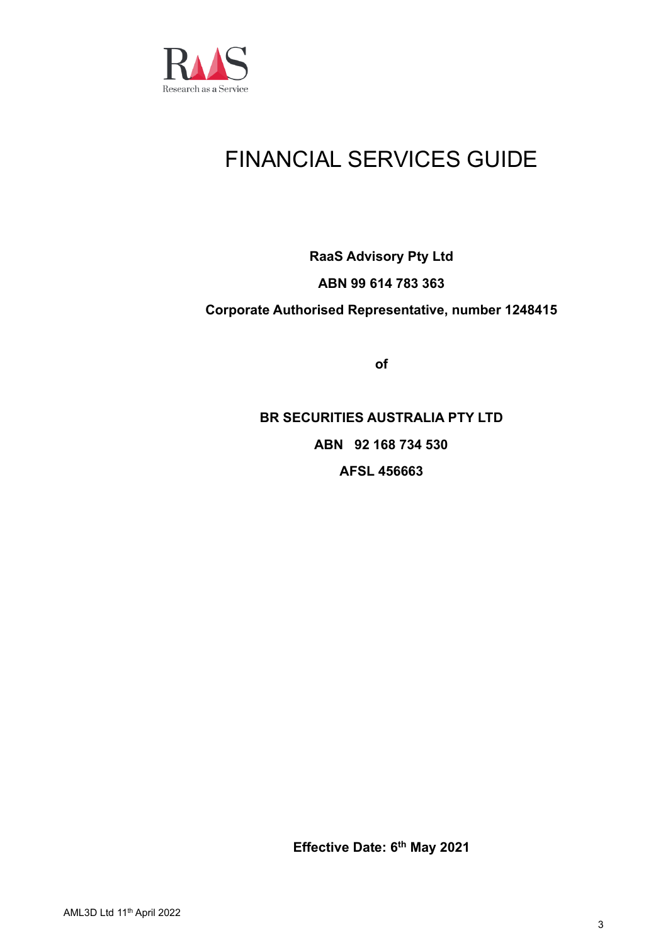

# FINANCIAL SERVICES GUIDE

## **RaaS Advisory Pty Ltd ABN 99 614 783 363 Corporate Authorised Representative, number 1248415**

**of**

**BR SECURITIES AUSTRALIA PTY LTD ABN 92 168 734 530 AFSL 456663**

**Effective Date: 6 th May 2021**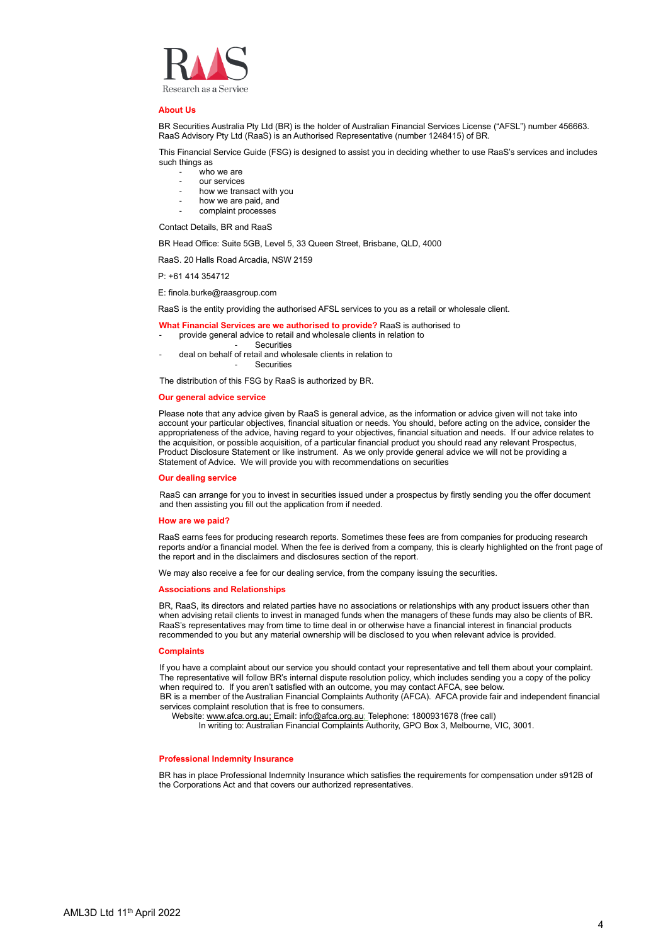

#### **About Us**

BR Securities Australia Pty Ltd (BR) is the holder of Australian Financial Services License ("AFSL") number 456663. RaaS Advisory Pty Ltd (RaaS) is an Authorised Representative (number 1248415) of BR.

This Financial Service Guide (FSG) is designed to assist you in deciding whether to use RaaS's services and includes such things as

- who we are
- our services
- how we transact with you
- how we are paid, and
- complaint processes

Contact Details, BR and RaaS

BR Head Office: Suite 5GB, Level 5, 33 Queen Street, Brisbane, QLD, 4000

RaaS. 20 Halls Road Arcadia, NSW 2159

P: +61 414 354712

E: finola.burke@raasgroup.com

RaaS is the entity providing the authorised AFSL services to you as a retail or wholesale client.

**What Financial Services are we authorised to provide?** RaaS is authorised to

- provide general advice to retail and wholesale clients in relation to
	- **Securities**
- deal on behalf of retail and wholesale clients in relation to **Securities**

The distribution of this FSG by RaaS is authorized by BR.

### **Our general advice service**

Please note that any advice given by RaaS is general advice, as the information or advice given will not take into account your particular objectives, financial situation or needs. You should, before acting on the advice, consider the appropriateness of the advice, having regard to your objectives, financial situation and needs. If our advice relates to the acquisition, or possible acquisition, of a particular financial product you should read any relevant Prospectus, Product Disclosure Statement or like instrument. As we only provide general advice we will not be providing a Statement of Advice. We will provide you with recommendations on securities

#### **Our dealing service**

RaaS can arrange for you to invest in securities issued under a prospectus by firstly sending you the offer document and then assisting you fill out the application from if needed.

#### **How are we paid?**

RaaS earns fees for producing research reports. Sometimes these fees are from companies for producing research reports and/or a financial model. When the fee is derived from a company, this is clearly highlighted on the front page of the report and in the disclaimers and disclosures section of the report.

We may also receive a fee for our dealing service, from the company issuing the securities.

#### **Associations and Relationships**

BR, RaaS, its directors and related parties have no associations or relationships with any product issuers other than when advising retail clients to invest in managed funds when the managers of these funds may also be clients of BR. RaaS's representatives may from time to time deal in or otherwise have a financial interest in financial products recommended to you but any material ownership will be disclosed to you when relevant advice is provided.

#### **Complaints**

If you have a complaint about our service you should contact your representative and tell them about your complaint. The representative will follow BR's internal dispute resolution policy, which includes sending you a copy of the policy when required to. If you aren't satisfied with an outcome, you may contact AFCA, see below. BR is a member of the Australian Financial Complaints Authority (AFCA). AFCA provide fair and independent financial

services complaint resolution that is free to consumers.

Website[: www.afca.org.au;](http://www.afca.org.au/) Email: [info@afca.org.au;](mailto:info@afca.org.au) Telephone: 1800931678 (free call)

In writing to: Australian Financial Complaints Authority, GPO Box 3, Melbourne, VIC, 3001.

#### **Professional Indemnity Insurance**

BR has in place Professional Indemnity Insurance which satisfies the requirements for compensation under s912B of the Corporations Act and that covers our authorized representatives.